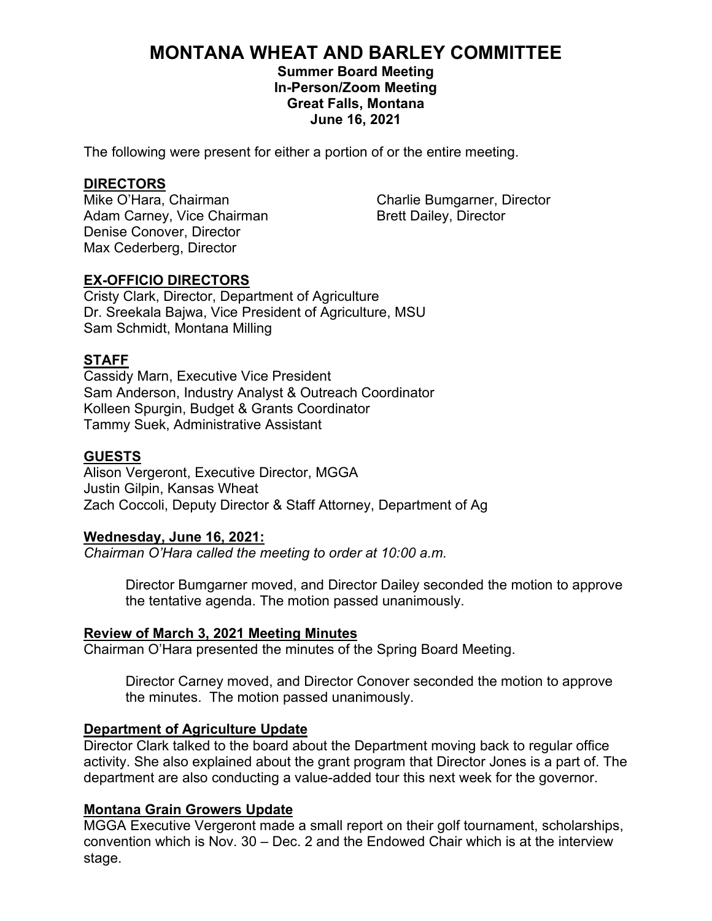# **MONTANA WHEAT AND BARLEY COMMITTEE**

**Summer Board Meeting In-Person/Zoom Meeting Great Falls, Montana June 16, 2021**

The following were present for either a portion of or the entire meeting.

**DIRECTORS** Adam Carney, Vice Chairman Brett Dailey, Director Denise Conover, Director Max Cederberg, Director

Charlie Bumgarner, Director

#### **EX-OFFICIO DIRECTORS**

Cristy Clark, Director, Department of Agriculture Dr. Sreekala Bajwa, Vice President of Agriculture, MSU Sam Schmidt, Montana Milling

#### **STAFF**

Cassidy Marn, Executive Vice President Sam Anderson, Industry Analyst & Outreach Coordinator Kolleen Spurgin, Budget & Grants Coordinator Tammy Suek, Administrative Assistant

#### **GUESTS**

Alison Vergeront, Executive Director, MGGA Justin Gilpin, Kansas Wheat Zach Coccoli, Deputy Director & Staff Attorney, Department of Ag

#### **Wednesday, June 16, 2021:**

*Chairman O'Hara called the meeting to order at 10:00 a.m.*

Director Bumgarner moved, and Director Dailey seconded the motion to approve the tentative agenda. The motion passed unanimously.

#### **Review of March 3, 2021 Meeting Minutes**

Chairman O'Hara presented the minutes of the Spring Board Meeting.

Director Carney moved, and Director Conover seconded the motion to approve the minutes. The motion passed unanimously.

#### **Department of Agriculture Update**

Director Clark talked to the board about the Department moving back to regular office activity. She also explained about the grant program that Director Jones is a part of. The department are also conducting a value-added tour this next week for the governor.

#### **Montana Grain Growers Update**

MGGA Executive Vergeront made a small report on their golf tournament, scholarships, convention which is Nov. 30 – Dec. 2 and the Endowed Chair which is at the interview stage.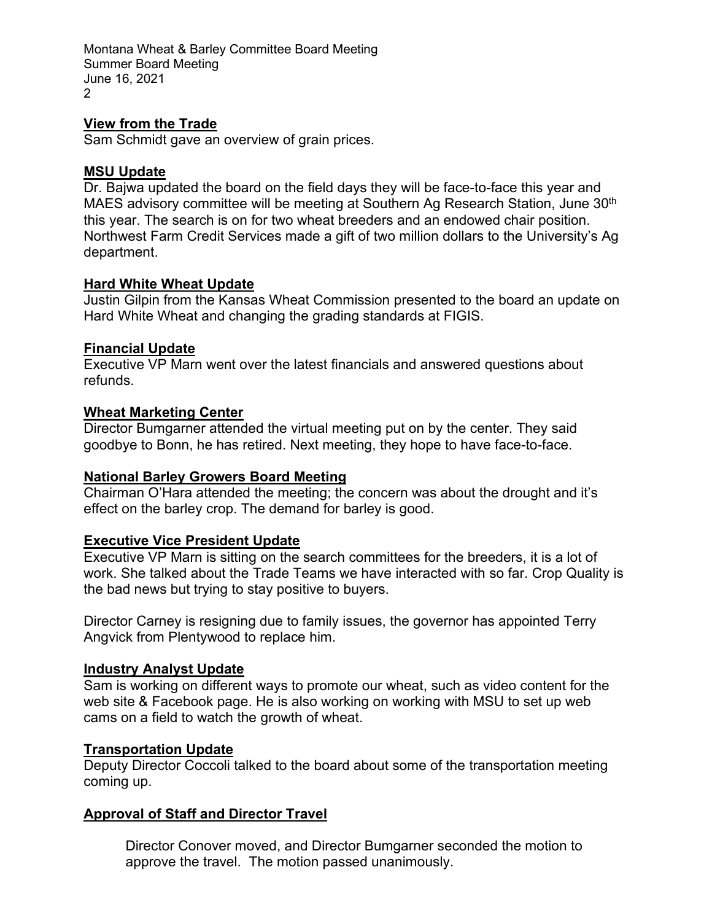Montana Wheat & Barley Committee Board Meeting Summer Board Meeting June 16, 2021  $\mathcal{D}$ 

# **View from the Trade**

Sam Schmidt gave an overview of grain prices.

# **MSU Update**

Dr. Bajwa updated the board on the field days they will be face-to-face this year and MAES advisory committee will be meeting at Southern Ag Research Station, June 30<sup>th</sup> this year. The search is on for two wheat breeders and an endowed chair position. Northwest Farm Credit Services made a gift of two million dollars to the University's Ag department.

# **Hard White Wheat Update**

Justin Gilpin from the Kansas Wheat Commission presented to the board an update on Hard White Wheat and changing the grading standards at FIGIS.

# **Financial Update**

Executive VP Marn went over the latest financials and answered questions about refunds.

# **Wheat Marketing Center**

Director Bumgarner attended the virtual meeting put on by the center. They said goodbye to Bonn, he has retired. Next meeting, they hope to have face-to-face.

# **National Barley Growers Board Meeting**

Chairman O'Hara attended the meeting; the concern was about the drought and it's effect on the barley crop. The demand for barley is good.

# **Executive Vice President Update**

Executive VP Marn is sitting on the search committees for the breeders, it is a lot of work. She talked about the Trade Teams we have interacted with so far. Crop Quality is the bad news but trying to stay positive to buyers.

Director Carney is resigning due to family issues, the governor has appointed Terry Angvick from Plentywood to replace him.

# **Industry Analyst Update**

Sam is working on different ways to promote our wheat, such as video content for the web site & Facebook page. He is also working on working with MSU to set up web cams on a field to watch the growth of wheat.

# **Transportation Update**

Deputy Director Coccoli talked to the board about some of the transportation meeting coming up.

# **Approval of Staff and Director Travel**

Director Conover moved, and Director Bumgarner seconded the motion to approve the travel. The motion passed unanimously.